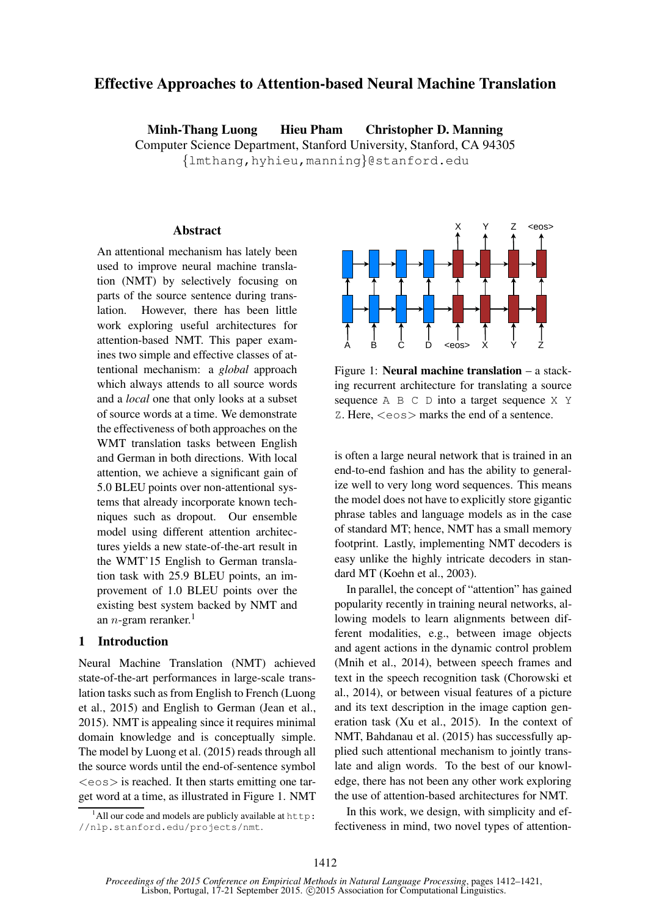# Effective Approaches to Attention-based Neural Machine Translation

Minh-Thang Luong Hieu Pham Christopher D. Manning Computer Science Department, Stanford University, Stanford, CA 94305 {lmthang,hyhieu,manning}@stanford.edu

### Abstract

An attentional mechanism has lately been used to improve neural machine translation (NMT) by selectively focusing on parts of the source sentence during translation. However, there has been little work exploring useful architectures for attention-based NMT. This paper examines two simple and effective classes of attentional mechanism: a *global* approach which always attends to all source words and a *local* one that only looks at a subset of source words at a time. We demonstrate the effectiveness of both approaches on the WMT translation tasks between English and German in both directions. With local attention, we achieve a significant gain of 5.0 BLEU points over non-attentional systems that already incorporate known techniques such as dropout. Our ensemble model using different attention architectures yields a new state-of-the-art result in the WMT'15 English to German translation task with 25.9 BLEU points, an improvement of 1.0 BLEU points over the existing best system backed by NMT and an *n*-gram reranker.<sup>1</sup>

### 1 Introduction

Neural Machine Translation (NMT) achieved state-of-the-art performances in large-scale translation tasks such as from English to French (Luong et al., 2015) and English to German (Jean et al., 2015). NMT is appealing since it requires minimal domain knowledge and is conceptually simple. The model by Luong et al. (2015) reads through all the source words until the end-of-sentence symbol  $\langle \cos \rangle$  is reached. It then starts emitting one target word at a time, as illustrated in Figure 1. NMT



Figure 1: Neural machine translation – a stacking recurrent architecture for translating a source sequence  $A \cap B \subset D$  into a target sequence  $X \cap Y$ Z. Here, <eos> marks the end of a sentence.

is often a large neural network that is trained in an end-to-end fashion and has the ability to generalize well to very long word sequences. This means the model does not have to explicitly store gigantic phrase tables and language models as in the case of standard MT; hence, NMT has a small memory footprint. Lastly, implementing NMT decoders is easy unlike the highly intricate decoders in standard MT (Koehn et al., 2003).

In parallel, the concept of "attention" has gained popularity recently in training neural networks, allowing models to learn alignments between different modalities, e.g., between image objects and agent actions in the dynamic control problem (Mnih et al., 2014), between speech frames and text in the speech recognition task (Chorowski et al., 2014), or between visual features of a picture and its text description in the image caption generation task (Xu et al., 2015). In the context of NMT, Bahdanau et al. (2015) has successfully applied such attentional mechanism to jointly translate and align words. To the best of our knowledge, there has not been any other work exploring the use of attention-based architectures for NMT.

In this work, we design, with simplicity and effectiveness in mind, two novel types of attention-

 $1$ All our code and models are publicly available at http: //nlp.stanford.edu/projects/nmt.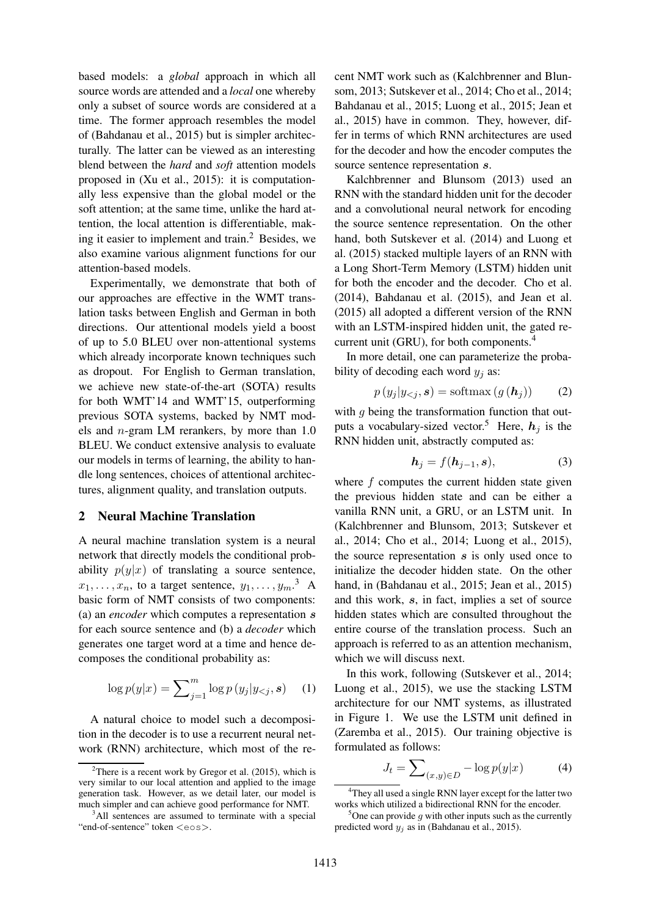based models: a *global* approach in which all source words are attended and a *local* one whereby only a subset of source words are considered at a time. The former approach resembles the model of (Bahdanau et al., 2015) but is simpler architecturally. The latter can be viewed as an interesting blend between the *hard* and *soft* attention models proposed in (Xu et al., 2015): it is computationally less expensive than the global model or the soft attention; at the same time, unlike the hard attention, the local attention is differentiable, making it easier to implement and train. $<sup>2</sup>$  Besides, we</sup> also examine various alignment functions for our attention-based models.

Experimentally, we demonstrate that both of our approaches are effective in the WMT translation tasks between English and German in both directions. Our attentional models yield a boost of up to 5.0 BLEU over non-attentional systems which already incorporate known techniques such as dropout. For English to German translation, we achieve new state-of-the-art (SOTA) results for both WMT'14 and WMT'15, outperforming previous SOTA systems, backed by NMT models and n-gram LM rerankers, by more than 1.0 BLEU. We conduct extensive analysis to evaluate our models in terms of learning, the ability to handle long sentences, choices of attentional architectures, alignment quality, and translation outputs.

#### 2 Neural Machine Translation

A neural machine translation system is a neural network that directly models the conditional probability  $p(y|x)$  of translating a source sentence,  $x_1, \ldots, x_n$ , to a target sentence,  $y_1, \ldots, y_m$ .<sup>3</sup> A basic form of NMT consists of two components: (a) an *encoder* which computes a representation s for each source sentence and (b) a *decoder* which generates one target word at a time and hence decomposes the conditional probability as:

$$
\log p(y|x) = \sum_{j=1}^{m} \log p(y_j|y_{
$$

A natural choice to model such a decomposition in the decoder is to use a recurrent neural network (RNN) architecture, which most of the recent NMT work such as (Kalchbrenner and Blunsom, 2013; Sutskever et al., 2014; Cho et al., 2014; Bahdanau et al., 2015; Luong et al., 2015; Jean et al., 2015) have in common. They, however, differ in terms of which RNN architectures are used for the decoder and how the encoder computes the source sentence representation s.

Kalchbrenner and Blunsom (2013) used an RNN with the standard hidden unit for the decoder and a convolutional neural network for encoding the source sentence representation. On the other hand, both Sutskever et al. (2014) and Luong et al. (2015) stacked multiple layers of an RNN with a Long Short-Term Memory (LSTM) hidden unit for both the encoder and the decoder. Cho et al. (2014), Bahdanau et al. (2015), and Jean et al. (2015) all adopted a different version of the RNN with an LSTM-inspired hidden unit, the gated recurrent unit (GRU), for both components.<sup>4</sup>

In more detail, one can parameterize the probability of decoding each word  $y_j$  as:

$$
p(y_j|y_{< j}, \mathbf{s}) = \text{softmax}(g(\mathbf{h}_j)) \tag{2}
$$

with  $q$  being the transformation function that outputs a vocabulary-sized vector.<sup>5</sup> Here,  $h_i$  is the RNN hidden unit, abstractly computed as:

$$
\boldsymbol{h}_j = f(\boldsymbol{h}_{j-1}, \boldsymbol{s}),\tag{3}
$$

where  $f$  computes the current hidden state given the previous hidden state and can be either a vanilla RNN unit, a GRU, or an LSTM unit. In (Kalchbrenner and Blunsom, 2013; Sutskever et al., 2014; Cho et al., 2014; Luong et al., 2015), the source representation  $s$  is only used once to initialize the decoder hidden state. On the other hand, in (Bahdanau et al., 2015; Jean et al., 2015) and this work, s, in fact, implies a set of source hidden states which are consulted throughout the entire course of the translation process. Such an approach is referred to as an attention mechanism, which we will discuss next.

In this work, following (Sutskever et al., 2014; Luong et al., 2015), we use the stacking LSTM architecture for our NMT systems, as illustrated in Figure 1. We use the LSTM unit defined in (Zaremba et al., 2015). Our training objective is formulated as follows:

$$
J_t = \sum\nolimits_{(x,y)\in D} -\log p(y|x) \tag{4}
$$

 $2$ There is a recent work by Gregor et al. (2015), which is very similar to our local attention and applied to the image generation task. However, as we detail later, our model is much simpler and can achieve good performance for NMT.

<sup>&</sup>lt;sup>3</sup>All sentences are assumed to terminate with a special "end-of-sentence" token <eos>.

<sup>&</sup>lt;sup>4</sup>They all used a single RNN layer except for the latter two works which utilized a bidirectional RNN for the encoder.

<sup>&</sup>lt;sup>5</sup>One can provide q with other inputs such as the currently predicted word  $y_i$  as in (Bahdanau et al., 2015).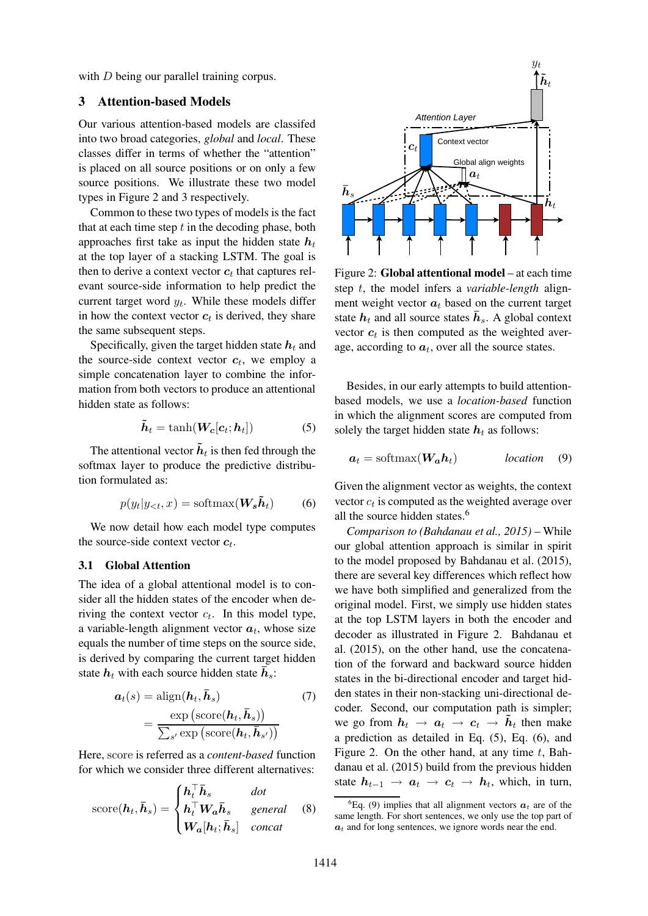with *D* being our parallel training corpus.

# 3 Attention-based Models

Our various attention-based models are classifed into two broad categories, *global* and *local*. These classes differ in terms of whether the "attention" is placed on all source positions or on only a few source positions. We illustrate these two model types in Figure 2 and 3 respectively.

Common to these two types of models is the fact that at each time step  $t$  in the decoding phase, both approaches first take as input the hidden state  $h_t$ at the top layer of a stacking LSTM. The goal is then to derive a context vector  $c_t$  that captures relevant source-side information to help predict the current target word  $y_t$ . While these models differ in how the context vector  $c_t$  is derived, they share the same subsequent steps.

Specifically, given the target hidden state  $h_t$  and the source-side context vector  $c_t$ , we employ a simple concatenation layer to combine the information from both vectors to produce an attentional hidden state as follows:

$$
\tilde{\boldsymbol{h}}_t = \tanh(\boldsymbol{W}_c[\boldsymbol{c}_t; \boldsymbol{h}_t]) \tag{5}
$$

The attentional vector  $\tilde{h}_t$  is then fed through the softmax layer to produce the predictive distribution formulated as:

$$
p(y_t|y_{<};,x) = \text{softmax}(\mathbf{W}_s \tilde{\boldsymbol{h}}_t) \tag{6}
$$

We now detail how each model type computes the source-side context vector  $c_t$ .

#### 3.1 Global Attention

The idea of a global attentional model is to consider all the hidden states of the encoder when deriving the context vector  $c_t$ . In this model type, a variable-length alignment vector  $a_t$ , whose size equals the number of time steps on the source side, is derived by comparing the current target hidden state  $h_t$  with each source hidden state  $\bar{h}_s$ :

$$
\mathbf{a}_t(s) = \text{align}(\mathbf{h}_t, \bar{\mathbf{h}}_s) \tag{7}
$$
\n
$$
= \frac{\exp(\text{score}(\mathbf{h}_t, \bar{\mathbf{h}}_s))}{\sum_{s'} \exp(\text{score}(\mathbf{h}_t, \bar{\mathbf{h}}_{s'}))}
$$

Here, score is referred as a *content-based* function for which we consider three different alternatives:

$$
score(\boldsymbol{h}_t, \boldsymbol{\bar{h}}_s) = \begin{cases} \boldsymbol{h}_t^\top \boldsymbol{\bar{h}}_s & dot \\ \boldsymbol{h}_t^\top \boldsymbol{W}_a \boldsymbol{\bar{h}}_s & general \\ \boldsymbol{W}_a[\boldsymbol{h}_t; \boldsymbol{\bar{h}}_s] & concat \end{cases}
$$
(8)



Figure 2: Global attentional model – at each time step t, the model infers a *variable-length* alignment weight vector  $a_t$  based on the current target state  $h_t$  and all source states  $\bar{h}_s$ . A global context vector  $c_t$  is then computed as the weighted average, according to  $a_t$ , over all the source states.

Besides, in our early attempts to build attentionbased models, we use a *location-based* function in which the alignment scores are computed from solely the target hidden state  $h_t$  as follows:

$$
a_t = \text{softmax}(W_a h_t) \quad \text{location} \quad (9)
$$

Given the alignment vector as weights, the context vector  $c_t$  is computed as the weighted average over all the source hidden states.<sup>6</sup>

*Comparison to (Bahdanau et al., 2015)* – While our global attention approach is similar in spirit to the model proposed by Bahdanau et al. (2015), there are several key differences which reflect how we have both simplified and generalized from the original model. First, we simply use hidden states at the top LSTM layers in both the encoder and decoder as illustrated in Figure 2. Bahdanau et al. (2015), on the other hand, use the concatenation of the forward and backward source hidden states in the bi-directional encoder and target hidden states in their non-stacking uni-directional decoder. Second, our computation path is simpler; we go from  $h_t \rightarrow a_t \rightarrow c_t \rightarrow \tilde{h}_t$  then make a prediction as detailed in Eq. (5), Eq. (6), and Figure 2. On the other hand, at any time  $t$ , Bahdanau et al. (2015) build from the previous hidden state  $h_{t-1} \rightarrow a_t \rightarrow c_t \rightarrow h_t$ , which, in turn,

<sup>&</sup>lt;sup>6</sup>Eq. (9) implies that all alignment vectors  $a_t$  are of the same length. For short sentences, we only use the top part of  $a_t$  and for long sentences, we ignore words near the end.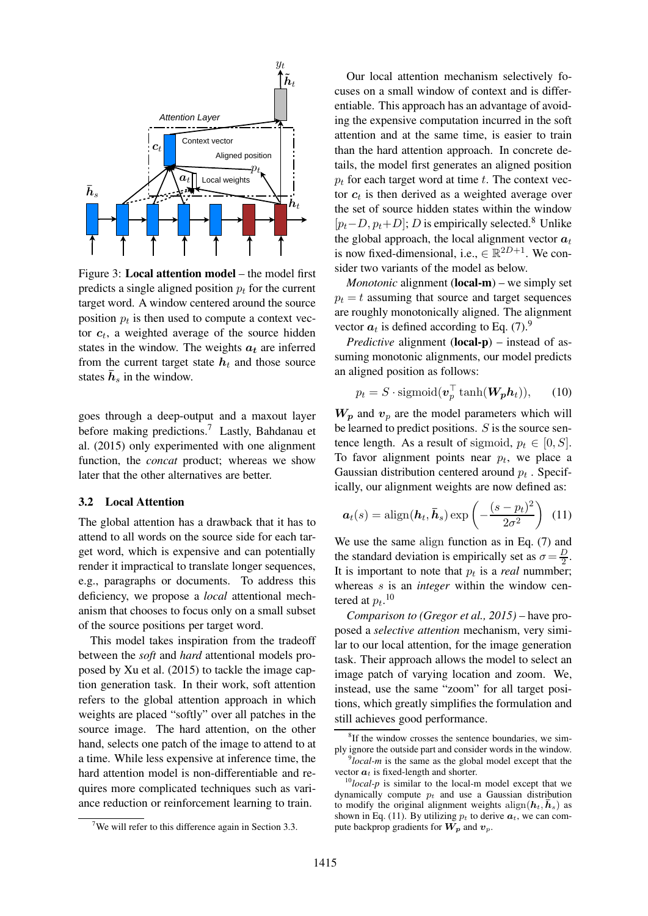

Figure 3: Local attention model – the model first predicts a single aligned position  $p_t$  for the current target word. A window centered around the source position  $p_t$  is then used to compute a context vector  $c_t$ , a weighted average of the source hidden states in the window. The weights  $a_t$  are inferred from the current target state  $h_t$  and those source states  $\bar{h}_s$  in the window.

goes through a deep-output and a maxout layer before making predictions.<sup>7</sup> Lastly, Bahdanau et al. (2015) only experimented with one alignment function, the *concat* product; whereas we show later that the other alternatives are better.

### 3.2 Local Attention

The global attention has a drawback that it has to attend to all words on the source side for each target word, which is expensive and can potentially render it impractical to translate longer sequences, e.g., paragraphs or documents. To address this deficiency, we propose a *local* attentional mechanism that chooses to focus only on a small subset of the source positions per target word.

This model takes inspiration from the tradeoff between the *soft* and *hard* attentional models proposed by Xu et al. (2015) to tackle the image caption generation task. In their work, soft attention refers to the global attention approach in which weights are placed "softly" over all patches in the source image. The hard attention, on the other hand, selects one patch of the image to attend to at a time. While less expensive at inference time, the hard attention model is non-differentiable and requires more complicated techniques such as variance reduction or reinforcement learning to train.

Our local attention mechanism selectively focuses on a small window of context and is differentiable. This approach has an advantage of avoiding the expensive computation incurred in the soft attention and at the same time, is easier to train than the hard attention approach. In concrete details, the model first generates an aligned position  $p_t$  for each target word at time t. The context vector  $c_t$  is then derived as a weighted average over the set of source hidden states within the window  $[p_t-D, p_t+D]$ ; D is empirically selected.<sup>8</sup> Unlike the global approach, the local alignment vector  $a_t$ is now fixed-dimensional, i.e.,  $\in \mathbb{R}^{2D+1}$ . We consider two variants of the model as below.

*Monotonic* alignment (**local-m**) – we simply set  $p_t = t$  assuming that source and target sequences are roughly monotonically aligned. The alignment vector  $a_t$  is defined according to Eq. (7).<sup>9</sup>

*Predictive* alignment (local-p) – instead of assuming monotonic alignments, our model predicts an aligned position as follows:

$$
p_t = S \cdot \text{sigmoid}(\boldsymbol{v}_p^\top \tanh(\boldsymbol{W_p h_t})),\qquad(10)
$$

 $W_p$  and  $v_p$  are the model parameters which will be learned to predict positions.  $S$  is the source sentence length. As a result of sigmoid,  $p_t \in [0, S]$ . To favor alignment points near  $p_t$ , we place a Gaussian distribution centered around  $p_t$ . Specifically, our alignment weights are now defined as:

$$
\boldsymbol{a}_t(s) = \text{align}(\boldsymbol{h}_t, \boldsymbol{\bar{h}}_s) \exp\left(-\frac{(s - p_t)^2}{2\sigma^2}\right) \tag{11}
$$

We use the same align function as in Eq. (7) and the standard deviation is empirically set as  $\sigma = \frac{D}{2}$  $\frac{D}{2}$ . It is important to note that  $p_t$  is a *real* nummber; whereas s is an *integer* within the window centered at  $p_t$ .<sup>10</sup>

*Comparison to (Gregor et al., 2015)* – have proposed a *selective attention* mechanism, very similar to our local attention, for the image generation task. Their approach allows the model to select an image patch of varying location and zoom. We, instead, use the same "zoom" for all target positions, which greatly simplifies the formulation and still achieves good performance.

<sup>&</sup>lt;sup>7</sup>We will refer to this difference again in Section 3.3.

<sup>&</sup>lt;sup>8</sup>If the window crosses the sentence boundaries, we simply ignore the outside part and consider words in the window.

<sup>9</sup> *local-m* is the same as the global model except that the vector  $a_t$  is fixed-length and shorter.

<sup>10</sup>*local-p* is similar to the local-m model except that we dynamically compute  $p_t$  and use a Gaussian distribution to modify the original alignment weights align $(h_t, \bar{h}_s)$  as shown in Eq. (11). By utilizing  $p_t$  to derive  $a_t$ , we can compute backprop gradients for  $W_p$  and  $v_p$ .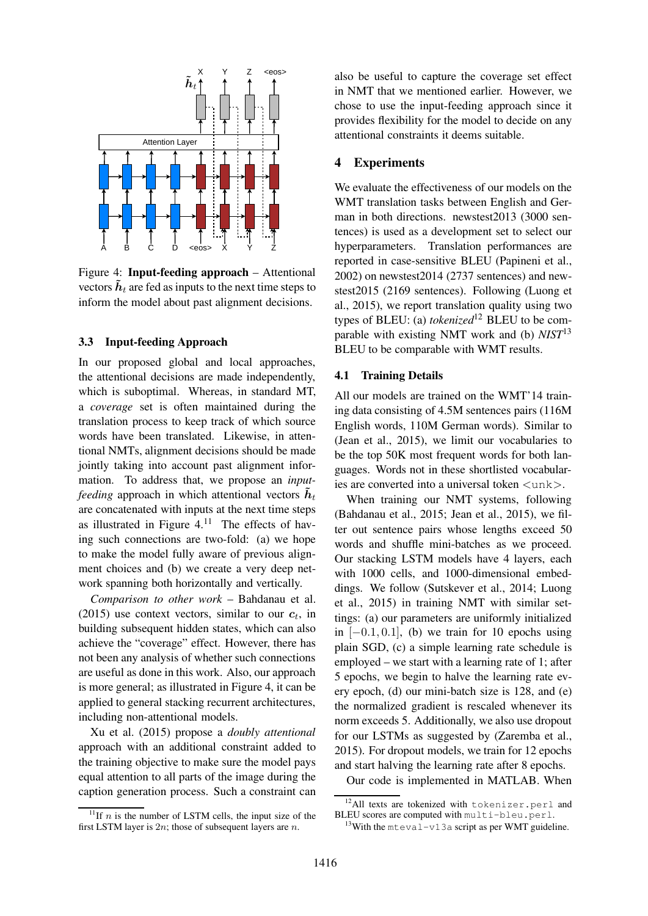

Figure 4: Input-feeding approach – Attentional vectors  $h_t$  are fed as inputs to the next time steps to inform the model about past alignment decisions.

### 3.3 Input-feeding Approach

In our proposed global and local approaches, the attentional decisions are made independently, which is suboptimal. Whereas, in standard MT, a *coverage* set is often maintained during the translation process to keep track of which source words have been translated. Likewise, in attentional NMTs, alignment decisions should be made jointly taking into account past alignment information. To address that, we propose an *inputfeeding* approach in which attentional vectors  $h_t$ are concatenated with inputs at the next time steps as illustrated in Figure  $4.11$  The effects of having such connections are two-fold: (a) we hope to make the model fully aware of previous alignment choices and (b) we create a very deep network spanning both horizontally and vertically.

*Comparison to other work* – Bahdanau et al. (2015) use context vectors, similar to our  $c_t$ , in building subsequent hidden states, which can also achieve the "coverage" effect. However, there has not been any analysis of whether such connections are useful as done in this work. Also, our approach is more general; as illustrated in Figure 4, it can be applied to general stacking recurrent architectures, including non-attentional models.

Xu et al. (2015) propose a *doubly attentional* approach with an additional constraint added to the training objective to make sure the model pays equal attention to all parts of the image during the caption generation process. Such a constraint can

<sup>11</sup>If *n* is the number of LSTM cells, the input size of the first LSTM layer is  $2n$ ; those of subsequent layers are n.

also be useful to capture the coverage set effect in NMT that we mentioned earlier. However, we chose to use the input-feeding approach since it provides flexibility for the model to decide on any attentional constraints it deems suitable.

### 4 Experiments

We evaluate the effectiveness of our models on the WMT translation tasks between English and German in both directions. newstest2013 (3000 sentences) is used as a development set to select our hyperparameters. Translation performances are reported in case-sensitive BLEU (Papineni et al., 2002) on newstest2014 (2737 sentences) and newstest2015 (2169 sentences). Following (Luong et al., 2015), we report translation quality using two types of BLEU: (a) *tokenized*<sup>12</sup> BLEU to be comparable with existing NMT work and (b) *NIST*<sup>13</sup> BLEU to be comparable with WMT results.

### 4.1 Training Details

All our models are trained on the WMT'14 training data consisting of 4.5M sentences pairs (116M English words, 110M German words). Similar to (Jean et al., 2015), we limit our vocabularies to be the top 50K most frequent words for both languages. Words not in these shortlisted vocabularies are converted into a universal token  $\langle \text{unk} \rangle$ .

When training our NMT systems, following (Bahdanau et al., 2015; Jean et al., 2015), we filter out sentence pairs whose lengths exceed 50 words and shuffle mini-batches as we proceed. Our stacking LSTM models have 4 layers, each with 1000 cells, and 1000-dimensional embeddings. We follow (Sutskever et al., 2014; Luong et al., 2015) in training NMT with similar settings: (a) our parameters are uniformly initialized in  $[-0.1, 0.1]$ , (b) we train for 10 epochs using plain SGD, (c) a simple learning rate schedule is employed – we start with a learning rate of 1; after 5 epochs, we begin to halve the learning rate every epoch, (d) our mini-batch size is 128, and (e) the normalized gradient is rescaled whenever its norm exceeds 5. Additionally, we also use dropout for our LSTMs as suggested by (Zaremba et al., 2015). For dropout models, we train for 12 epochs and start halving the learning rate after 8 epochs.

Our code is implemented in MATLAB. When

<sup>&</sup>lt;sup>12</sup>All texts are tokenized with tokenizer.perl and BLEU scores are computed with multi-bleu.perl.

<sup>&</sup>lt;sup>13</sup>With the mteval-v13a script as per WMT guideline.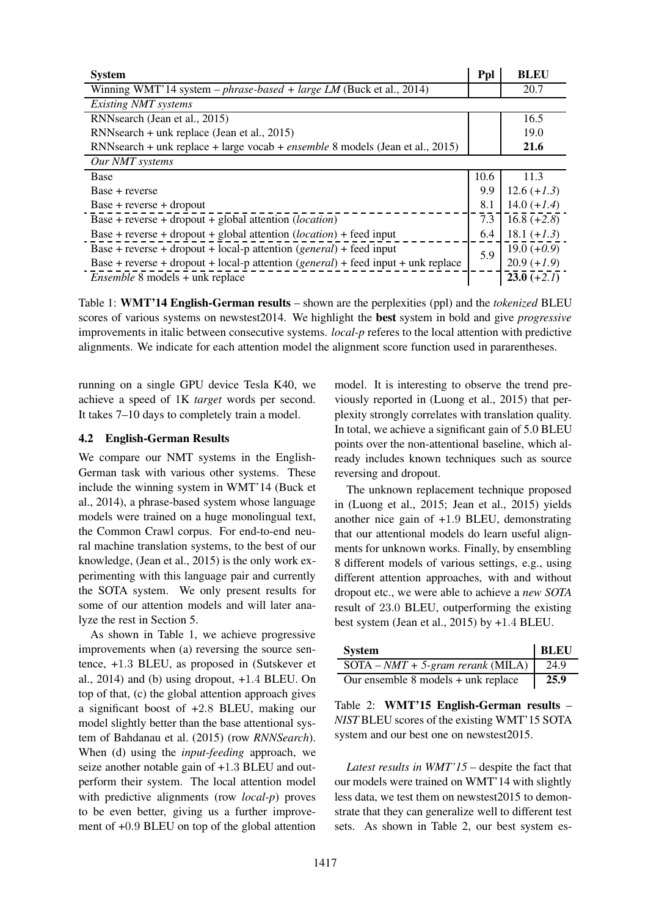| <b>System</b>                                                                        | Ppl  | <b>BLEU</b>   |
|--------------------------------------------------------------------------------------|------|---------------|
| Winning WMT'14 system - $phrase\text{-}based + large\text{ }LM$ (Buck et al., 2014)  |      | 20.7          |
| Existing NMT systems                                                                 |      |               |
| RNNsearch (Jean et al., 2015)                                                        |      | 16.5          |
| RNNsearch + unk replace (Jean et al., 2015)                                          |      | 19.0          |
| RNNsearch + unk replace + large vocab + <i>ensemble</i> 8 models (Jean et al., 2015) |      | 21.6          |
| Our NMT systems                                                                      |      |               |
| <b>Base</b>                                                                          | 10.6 | 11.3          |
| Base + reverse                                                                       | 9.9  | $12.6 (+1.3)$ |
| $Base + reverse + dropout$                                                           | 8.1  | $14.0 (+1.4)$ |
| Base + reverse + dropout + global attention ( <i>location</i> )                      | 7.3  | $16.8 (+2.8)$ |
| Base + reverse + dropout + global attention $(location)$ + feed input                | 6.4  | $18.1 (+1.3)$ |
| Base + reverse + dropout + local-p attention $(general)$ + feed input                | 5.9  | $19.0 (+0.9)$ |
| Base + reverse + dropout + local-p attention $(general)$ + feed input + unk replace  |      | $20.9 (+1.9)$ |
| <i>Ensemble</i> 8 models + unk replace                                               |      | $23.0 (+2.1)$ |

Table 1: WMT'14 English-German results – shown are the perplexities (ppl) and the *tokenized* BLEU scores of various systems on newstest2014. We highlight the best system in bold and give *progressive* improvements in italic between consecutive systems. *local-p* referes to the local attention with predictive alignments. We indicate for each attention model the alignment score function used in pararentheses.

running on a single GPU device Tesla K40, we achieve a speed of 1K *target* words per second. It takes 7–10 days to completely train a model.

#### 4.2 English-German Results

We compare our NMT systems in the English-German task with various other systems. These include the winning system in WMT'14 (Buck et al., 2014), a phrase-based system whose language models were trained on a huge monolingual text, the Common Crawl corpus. For end-to-end neural machine translation systems, to the best of our knowledge, (Jean et al., 2015) is the only work experimenting with this language pair and currently the SOTA system. We only present results for some of our attention models and will later analyze the rest in Section 5.

As shown in Table 1, we achieve progressive improvements when (a) reversing the source sentence, +1.3 BLEU, as proposed in (Sutskever et al., 2014) and (b) using dropout, +1.4 BLEU. On top of that, (c) the global attention approach gives a significant boost of +2.8 BLEU, making our model slightly better than the base attentional system of Bahdanau et al. (2015) (row *RNNSearch*). When (d) using the *input-feeding* approach, we seize another notable gain of +1.3 BLEU and outperform their system. The local attention model with predictive alignments (row *local-p*) proves to be even better, giving us a further improvement of +0.9 BLEU on top of the global attention

model. It is interesting to observe the trend previously reported in (Luong et al., 2015) that perplexity strongly correlates with translation quality. In total, we achieve a significant gain of 5.0 BLEU points over the non-attentional baseline, which already includes known techniques such as source reversing and dropout.

The unknown replacement technique proposed in (Luong et al., 2015; Jean et al., 2015) yields another nice gain of +1.9 BLEU, demonstrating that our attentional models do learn useful alignments for unknown works. Finally, by ensembling 8 different models of various settings, e.g., using different attention approaches, with and without dropout etc., we were able to achieve a *new SOTA* result of 23.0 BLEU, outperforming the existing best system (Jean et al., 2015) by +1.4 BLEU.

| <b>System</b>                              | <b>BLEU</b> |
|--------------------------------------------|-------------|
| $SOTA - NMT + 5\text{-}gram$ rerank (MILA) | 24.9        |
| Our ensemble $8$ models $+$ unk replace    | 25.9        |

Table 2: WMT'15 English-German results – *NIST* BLEU scores of the existing WMT'15 SOTA system and our best one on newstest2015.

*Latest results in WMT'15* – despite the fact that our models were trained on WMT'14 with slightly less data, we test them on newstest2015 to demonstrate that they can generalize well to different test sets. As shown in Table 2, our best system es-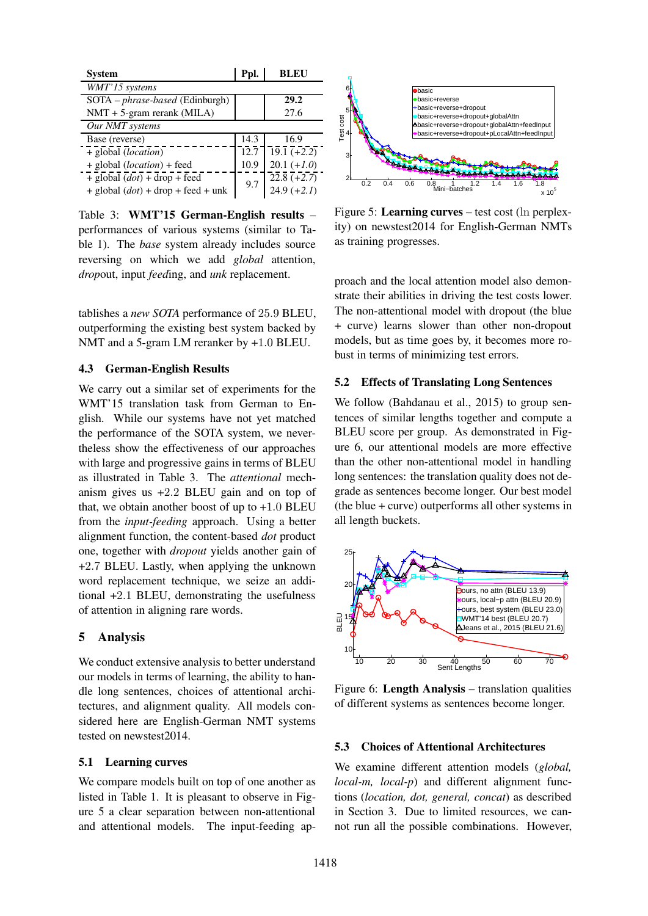| <b>System</b>                          | Ppl. | <b>BLEU</b>              |
|----------------------------------------|------|--------------------------|
| WMT'15 systems                         |      |                          |
| SOTA – <i>phrase-based</i> (Edinburgh) |      | 29.2                     |
| $NMT + 5$ -gram rerank (MILA)          |      | 27.6                     |
| Our NMT systems                        |      |                          |
| Base (reverse)                         | 14.3 | 16.9                     |
| + global (location)                    | 12.7 | $\overline{19.1}$ (+2.2) |
| + global (location) + feed             | 10.9 | $20.1 (+1.0)$            |
| $+$ global $(dot) + drop + feed$       | 9.7  | $22.8 (+2.7)$            |
| $+$ global $(dot)$ + drop + feed + unk |      | $24.9 (+2.1)$            |

Table 3: WMT'15 German-English results – performances of various systems (similar to Table 1). The *base* system already includes source reversing on which we add *global* attention, *drop*out, input *feed*ing, and *unk* replacement.

tablishes a *new SOTA* performance of 25.9 BLEU, outperforming the existing best system backed by NMT and a 5-gram LM reranker by +1.0 BLEU.

# 4.3 German-English Results

We carry out a similar set of experiments for the WMT'15 translation task from German to English. While our systems have not yet matched the performance of the SOTA system, we nevertheless show the effectiveness of our approaches with large and progressive gains in terms of BLEU as illustrated in Table 3. The *attentional* mechanism gives us +2.2 BLEU gain and on top of that, we obtain another boost of up to  $+1.0$  BLEU from the *input-feeding* approach. Using a better alignment function, the content-based *dot* product one, together with *dropout* yields another gain of +2.7 BLEU. Lastly, when applying the unknown word replacement technique, we seize an additional +2.1 BLEU, demonstrating the usefulness of attention in aligning rare words.

# 5 Analysis

We conduct extensive analysis to better understand our models in terms of learning, the ability to handle long sentences, choices of attentional architectures, and alignment quality. All models considered here are English-German NMT systems tested on newstest2014.

### 5.1 Learning curves

We compare models built on top of one another as listed in Table 1. It is pleasant to observe in Figure 5 a clear separation between non-attentional and attentional models. The input-feeding ap-



Figure 5: Learning curves – test cost (ln perplexity) on newstest2014 for English-German NMTs as training progresses.

proach and the local attention model also demonstrate their abilities in driving the test costs lower. The non-attentional model with dropout (the blue + curve) learns slower than other non-dropout models, but as time goes by, it becomes more robust in terms of minimizing test errors.

# 5.2 Effects of Translating Long Sentences

We follow (Bahdanau et al., 2015) to group sentences of similar lengths together and compute a BLEU score per group. As demonstrated in Figure 6, our attentional models are more effective than the other non-attentional model in handling long sentences: the translation quality does not degrade as sentences become longer. Our best model (the blue + curve) outperforms all other systems in all length buckets.



Figure 6: Length Analysis – translation qualities of different systems as sentences become longer.

# 5.3 Choices of Attentional Architectures

We examine different attention models (*global, local-m, local-p*) and different alignment functions (*location, dot, general, concat*) as described in Section 3. Due to limited resources, we cannot run all the possible combinations. However,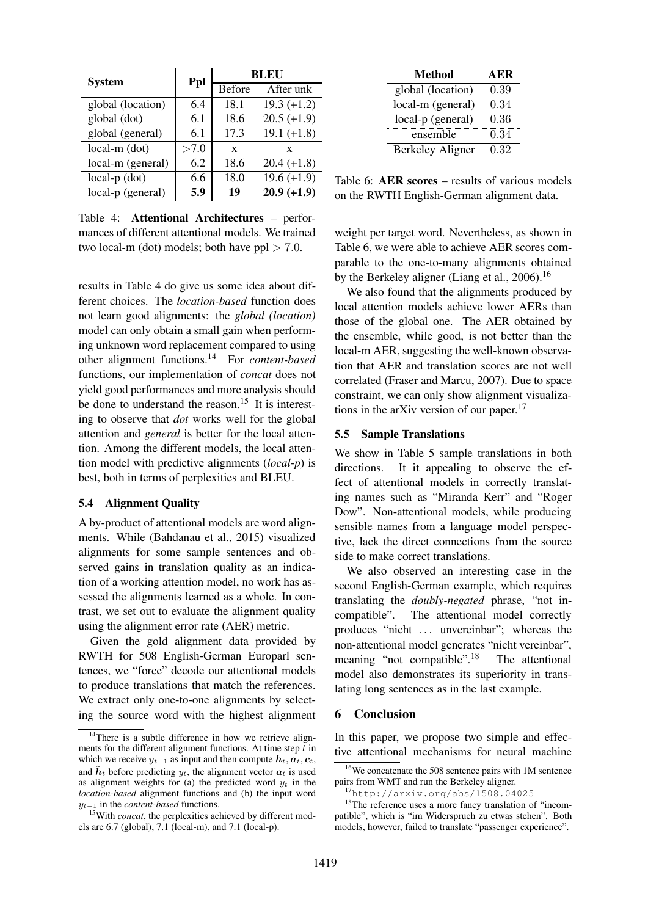| <b>System</b>     | Ppl  | BLEU          |               |
|-------------------|------|---------------|---------------|
|                   |      | <b>Before</b> | After unk     |
| global (location) | 6.4  | 18.1          | $19.3 (+1.2)$ |
| global (dot)      | 6.1  | 18.6          | $20.5 (+1.9)$ |
| global (general)  | 6.1  | 17.3          | $19.1 (+1.8)$ |
| $local-m$ (dot)   | >7.0 | X             | X             |
| local-m (general) | 6.2  | 18.6          | $20.4 (+1.8)$ |
| $local-p$ (dot)   | 6.6  | 18.0          | $19.6 (+1.9)$ |
| local-p (general) | 5.9  | 19            | $20.9 (+1.9)$ |

Table 4: Attentional Architectures – performances of different attentional models. We trained two local-m (dot) models; both have  $ppl > 7.0$ .

results in Table 4 do give us some idea about different choices. The *location-based* function does not learn good alignments: the *global (location)* model can only obtain a small gain when performing unknown word replacement compared to using other alignment functions.<sup>14</sup> For *content-based* functions, our implementation of *concat* does not yield good performances and more analysis should be done to understand the reason.<sup>15</sup> It is interesting to observe that *dot* works well for the global attention and *general* is better for the local attention. Among the different models, the local attention model with predictive alignments (*local-p*) is best, both in terms of perplexities and BLEU.

#### 5.4 Alignment Quality

A by-product of attentional models are word alignments. While (Bahdanau et al., 2015) visualized alignments for some sample sentences and observed gains in translation quality as an indication of a working attention model, no work has assessed the alignments learned as a whole. In contrast, we set out to evaluate the alignment quality using the alignment error rate (AER) metric.

Given the gold alignment data provided by RWTH for 508 English-German Europarl sentences, we "force" decode our attentional models to produce translations that match the references. We extract only one-to-one alignments by selecting the source word with the highest alignment

| Method                  | A ER |
|-------------------------|------|
| global (location)       | 0.39 |
| local-m (general)       | 0.34 |
| local-p (general)       | 0.36 |
| ensemble                | 0.34 |
| <b>Berkeley Aligner</b> | 0.32 |

Table 6: AER scores – results of various models on the RWTH English-German alignment data.

weight per target word. Nevertheless, as shown in Table 6, we were able to achieve AER scores comparable to the one-to-many alignments obtained by the Berkeley aligner (Liang et al., 2006).<sup>16</sup>

We also found that the alignments produced by local attention models achieve lower AERs than those of the global one. The AER obtained by the ensemble, while good, is not better than the local-m AER, suggesting the well-known observation that AER and translation scores are not well correlated (Fraser and Marcu, 2007). Due to space constraint, we can only show alignment visualizations in the arXiv version of our paper. $17$ 

# 5.5 Sample Translations

We show in Table 5 sample translations in both directions. It it appealing to observe the effect of attentional models in correctly translating names such as "Miranda Kerr" and "Roger Dow". Non-attentional models, while producing sensible names from a language model perspective, lack the direct connections from the source side to make correct translations.

We also observed an interesting case in the second English-German example, which requires translating the *doubly-negated* phrase, "not incompatible". The attentional model correctly produces "nicht ... unvereinbar"; whereas the non-attentional model generates "nicht vereinbar", meaning "not compatible".<sup>18</sup> The attentional model also demonstrates its superiority in translating long sentences as in the last example.

### 6 Conclusion

In this paper, we propose two simple and effective attentional mechanisms for neural machine

<sup>&</sup>lt;sup>14</sup>There is a subtle difference in how we retrieve alignments for the different alignment functions. At time step  $\bar{t}$  in which we receive  $y_{t-1}$  as input and then compute  $h_t, a_t, c_t$ , and  $\tilde{h}_t$  before predicting  $y_t$ , the alignment vector  $a_t$  is used as alignment weights for (a) the predicted word  $y_t$  in the *location-based* alignment functions and (b) the input word y<sup>t</sup>−<sup>1</sup> in the *content-based* functions.

<sup>&</sup>lt;sup>15</sup>With *concat*, the perplexities achieved by different models are 6.7 (global), 7.1 (local-m), and 7.1 (local-p).

<sup>16</sup>We concatenate the 508 sentence pairs with 1M sentence pairs from WMT and run the Berkeley aligner.

<sup>17</sup>http://arxiv.org/abs/1508.04025

<sup>&</sup>lt;sup>18</sup>The reference uses a more fancy translation of "incompatible", which is "im Widerspruch zu etwas stehen". Both models, however, failed to translate "passenger experience".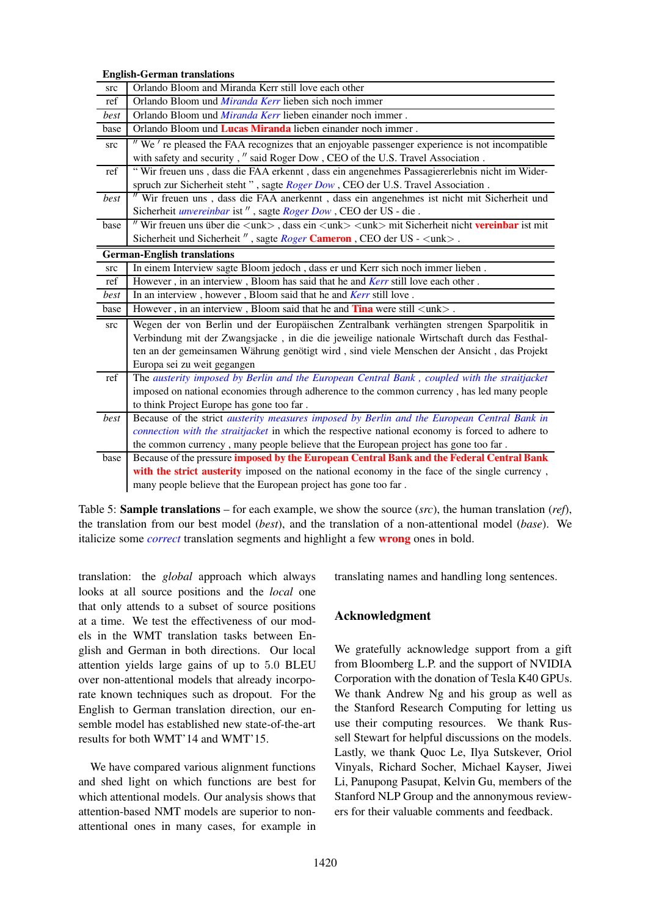English-German translations

| src  | Orlando Bloom and Miranda Kerr still love each other                                                                                                       |
|------|------------------------------------------------------------------------------------------------------------------------------------------------------------|
| ref  | Orlando Bloom und <i>Miranda Kerr</i> lieben sich noch immer                                                                                               |
| best | Orlando Bloom und <i>Miranda Kerr</i> lieben einander noch immer.                                                                                          |
| base | Orlando Bloom und Lucas Miranda lieben einander noch immer.                                                                                                |
| src  | " We're pleased the FAA recognizes that an enjoyable passenger experience is not incompatible                                                              |
|      | with safety and security, " said Roger Dow, CEO of the U.S. Travel Association.                                                                            |
| ref  | "Wir freuen uns, dass die FAA erkennt, dass ein angenehmes Passagiererlebnis nicht im Wider-                                                               |
|      | spruch zur Sicherheit steht", sagte Roger Dow, CEO der U.S. Travel Association.                                                                            |
| best | " Wir freuen uns, dass die FAA anerkennt, dass ein angenehmes ist nicht mit Sicherheit und                                                                 |
|      | Sicherheit <i>unvereinbar</i> ist", sagte <i>Roger Dow</i> , CEO der US - die.                                                                             |
| base | " Wir freuen uns über die $\langle$ unk $\rangle$ , dass ein $\langle$ unk $\rangle$ $\langle$ unk $\rangle$ mit Sicherheit nicht <b>vereinbar</b> ist mit |
|      | Sicherheit und Sicherheit", sagte Roger Cameron, CEO der US - <unk>.</unk>                                                                                 |
|      | <b>German-English translations</b>                                                                                                                         |
| src  | In einem Interview sagte Bloom jedoch, dass er und Kerr sich noch immer lieben.                                                                            |
| ref  | However, in an interview, Bloom has said that he and Kerr still love each other.                                                                           |
| best | In an interview, however, Bloom said that he and Kerr still love.                                                                                          |
| base | However, in an interview, Bloom said that he and $\text{Tina}$ were still $\langle \text{unk} \rangle$ .                                                   |
|      |                                                                                                                                                            |
| src  | Wegen der von Berlin und der Europäischen Zentralbank verhängten strengen Sparpolitik in                                                                   |
|      | Verbindung mit der Zwangsjacke, in die die jeweilige nationale Wirtschaft durch das Festhal-                                                               |
|      | ten an der gemeinsamen Währung genötigt wird, sind viele Menschen der Ansicht, das Projekt                                                                 |
|      | Europa sei zu weit gegangen                                                                                                                                |
| ref  | The austerity imposed by Berlin and the European Central Bank, coupled with the straitjacket                                                               |
|      | imposed on national economies through adherence to the common currency, has led many people                                                                |
|      | to think Project Europe has gone too far.                                                                                                                  |
| best | Because of the strict <i>austerity measures imposed by Berlin and the European Central Bank in</i>                                                         |
|      | connection with the straitjacket in which the respective national economy is forced to adhere to                                                           |
|      | the common currency, many people believe that the European project has gone too far.                                                                       |
| base | Because of the pressure imposed by the European Central Bank and the Federal Central Bank                                                                  |
|      | with the strict austerity imposed on the national economy in the face of the single currency,                                                              |

Table 5: Sample translations – for each example, we show the source (*src*), the human translation (*ref*), the translation from our best model (*best*), and the translation of a non-attentional model (*base*). We italicize some *correct* translation segments and highlight a few wrong ones in bold.

translation: the *global* approach which always looks at all source positions and the *local* one that only attends to a subset of source positions at a time. We test the effectiveness of our models in the WMT translation tasks between English and German in both directions. Our local attention yields large gains of up to 5.0 BLEU over non-attentional models that already incorporate known techniques such as dropout. For the English to German translation direction, our ensemble model has established new state-of-the-art results for both WMT'14 and WMT'15.

We have compared various alignment functions and shed light on which functions are best for which attentional models. Our analysis shows that attention-based NMT models are superior to nonattentional ones in many cases, for example in translating names and handling long sentences.

# Acknowledgment

We gratefully acknowledge support from a gift from Bloomberg L.P. and the support of NVIDIA Corporation with the donation of Tesla K40 GPUs. We thank Andrew Ng and his group as well as the Stanford Research Computing for letting us use their computing resources. We thank Russell Stewart for helpful discussions on the models. Lastly, we thank Quoc Le, Ilya Sutskever, Oriol Vinyals, Richard Socher, Michael Kayser, Jiwei Li, Panupong Pasupat, Kelvin Gu, members of the Stanford NLP Group and the annonymous reviewers for their valuable comments and feedback.